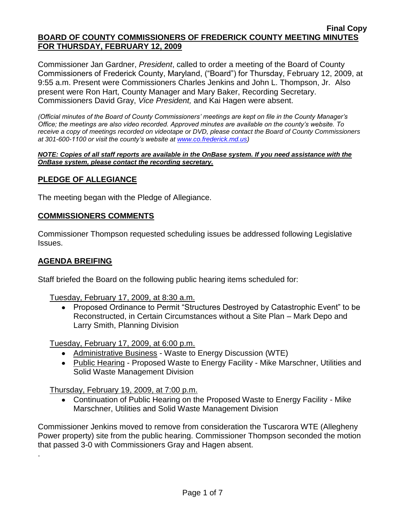Commissioner Jan Gardner, *President*, called to order a meeting of the Board of County Commissioners of Frederick County, Maryland, ("Board") for Thursday, February 12, 2009, at 9:55 a.m. Present were Commissioners Charles Jenkins and John L. Thompson, Jr. Also present were Ron Hart, County Manager and Mary Baker, Recording Secretary. Commissioners David Gray, *Vice President,* and Kai Hagen were absent.

*(Official minutes of the Board of County Commissioners' meetings are kept on file in the County Manager's Office; the meetings are also video recorded. Approved minutes are available on the county's website. To receive a copy of meetings recorded on videotape or DVD, please contact the Board of County Commissioners at 301-600-1100 or visit the county's website at [www.co.frederick.md.us\)](http://www.co.frederick.md.us/)*

#### *NOTE: Copies of all staff reports are available in the OnBase system. If you need assistance with the OnBase system, please contact the recording secretary.*

## **PLEDGE OF ALLEGIANCE**

The meeting began with the Pledge of Allegiance.

#### **COMMISSIONERS COMMENTS**

Commissioner Thompson requested scheduling issues be addressed following Legislative Issues.

### **AGENDA BREIFING**

.

Staff briefed the Board on the following public hearing items scheduled for:

Tuesday, February 17, 2009, at 8:30 a.m.

• Proposed Ordinance to Permit "Structures Destroyed by Catastrophic Event" to be Reconstructed, in Certain Circumstances without a Site Plan – Mark Depo and Larry Smith, Planning Division

Tuesday, February 17, 2009, at 6:00 p.m.

- Administrative Business Waste to Energy Discussion (WTE)
- Public Hearing Proposed Waste to Energy Facility Mike Marschner, Utilities and Solid Waste Management Division

Thursday, February 19, 2009, at 7:00 p.m.

Continuation of Public Hearing on the Proposed Waste to Energy Facility - Mike  $\bullet$ Marschner, Utilities and Solid Waste Management Division

Commissioner Jenkins moved to remove from consideration the Tuscarora WTE (Allegheny Power property) site from the public hearing. Commissioner Thompson seconded the motion that passed 3-0 with Commissioners Gray and Hagen absent.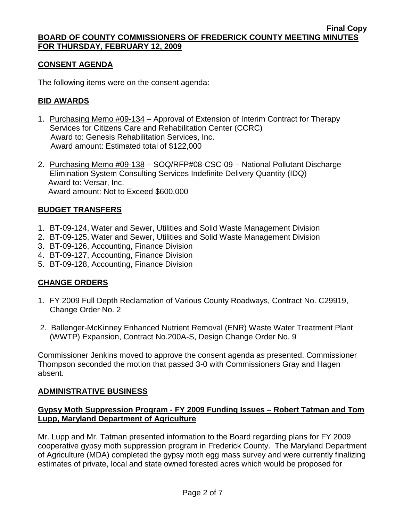# **CONSENT AGENDA**

The following items were on the consent agenda:

## **BID AWARDS**

- 1. Purchasing Memo #09-134 Approval of Extension of Interim Contract for Therapy Services for Citizens Care and Rehabilitation Center (CCRC) Award to: Genesis Rehabilitation Services, Inc. Award amount: Estimated total of \$122,000
- 2. Purchasing Memo #09-138 SOQ/RFP#08-CSC-09 National Pollutant Discharge Elimination System Consulting Services Indefinite Delivery Quantity (IDQ) Award to: Versar, Inc. Award amount: Not to Exceed \$600,000

### **BUDGET TRANSFERS**

- 1. BT-09-124, Water and Sewer, Utilities and Solid Waste Management Division
- 2. BT-09-125, Water and Sewer, Utilities and Solid Waste Management Division
- 3. BT-09-126, Accounting, Finance Division
- 4. BT-09-127, Accounting, Finance Division
- 5. BT-09-128, Accounting, Finance Division

# **CHANGE ORDERS**

- 1. FY 2009 Full Depth Reclamation of Various County Roadways, Contract No. C29919, Change Order No. 2
- 2. Ballenger-McKinney Enhanced Nutrient Removal (ENR) Waste Water Treatment Plant (WWTP) Expansion, Contract No.200A-S, Design Change Order No. 9

Commissioner Jenkins moved to approve the consent agenda as presented. Commissioner Thompson seconded the motion that passed 3-0 with Commissioners Gray and Hagen absent.

### **ADMINISTRATIVE BUSINESS**

### **Gypsy Moth Suppression Program - FY 2009 Funding Issues – Robert Tatman and Tom Lupp, Maryland Department of Agriculture**

Mr. Lupp and Mr. Tatman presented information to the Board regarding plans for FY 2009 cooperative gypsy moth suppression program in Frederick County. The Maryland Department of Agriculture (MDA) completed the gypsy moth egg mass survey and were currently finalizing estimates of private, local and state owned forested acres which would be proposed for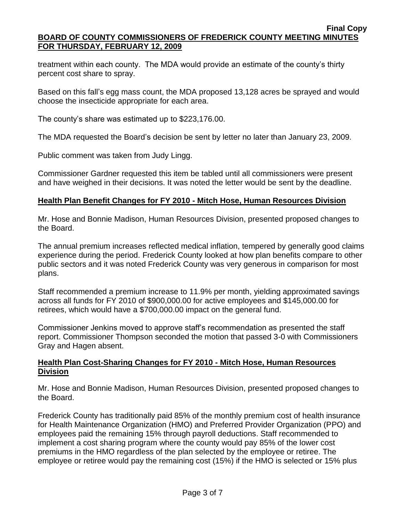treatment within each county. The MDA would provide an estimate of the county's thirty percent cost share to spray.

Based on this fall's egg mass count, the MDA proposed 13,128 acres be sprayed and would choose the insecticide appropriate for each area.

The county's share was estimated up to \$223,176.00.

The MDA requested the Board's decision be sent by letter no later than January 23, 2009.

Public comment was taken from Judy Lingg.

Commissioner Gardner requested this item be tabled until all commissioners were present and have weighed in their decisions. It was noted the letter would be sent by the deadline.

## **Health Plan Benefit Changes for FY 2010 - Mitch Hose, Human Resources Division**

Mr. Hose and Bonnie Madison, Human Resources Division, presented proposed changes to the Board.

The annual premium increases reflected medical inflation, tempered by generally good claims experience during the period. Frederick County looked at how plan benefits compare to other public sectors and it was noted Frederick County was very generous in comparison for most plans.

Staff recommended a premium increase to 11.9% per month, yielding approximated savings across all funds for FY 2010 of \$900,000.00 for active employees and \$145,000.00 for retirees, which would have a \$700,000.00 impact on the general fund.

Commissioner Jenkins moved to approve staff's recommendation as presented the staff report. Commissioner Thompson seconded the motion that passed 3-0 with Commissioners Gray and Hagen absent.

## **Health Plan Cost-Sharing Changes for FY 2010 - Mitch Hose, Human Resources Division**

Mr. Hose and Bonnie Madison, Human Resources Division, presented proposed changes to the Board.

Frederick County has traditionally paid 85% of the monthly premium cost of health insurance for Health Maintenance Organization (HMO) and Preferred Provider Organization (PPO) and employees paid the remaining 15% through payroll deductions. Staff recommended to implement a cost sharing program where the county would pay 85% of the lower cost premiums in the HMO regardless of the plan selected by the employee or retiree. The employee or retiree would pay the remaining cost (15%) if the HMO is selected or 15% plus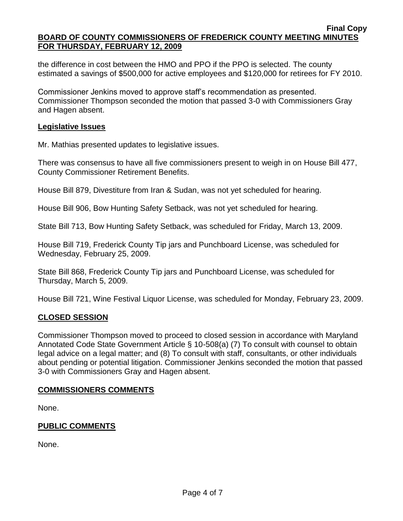the difference in cost between the HMO and PPO if the PPO is selected. The county estimated a savings of \$500,000 for active employees and \$120,000 for retirees for FY 2010.

Commissioner Jenkins moved to approve staff's recommendation as presented. Commissioner Thompson seconded the motion that passed 3-0 with Commissioners Gray and Hagen absent.

### **Legislative Issues**

Mr. Mathias presented updates to legislative issues.

There was consensus to have all five commissioners present to weigh in on House Bill 477, County Commissioner Retirement Benefits.

House Bill 879, Divestiture from Iran & Sudan, was not yet scheduled for hearing.

House Bill 906, Bow Hunting Safety Setback, was not yet scheduled for hearing.

State Bill 713, Bow Hunting Safety Setback, was scheduled for Friday, March 13, 2009.

House Bill 719, Frederick County Tip jars and Punchboard License, was scheduled for Wednesday, February 25, 2009.

State Bill 868, Frederick County Tip jars and Punchboard License, was scheduled for Thursday, March 5, 2009.

House Bill 721, Wine Festival Liquor License, was scheduled for Monday, February 23, 2009.

### **CLOSED SESSION**

Commissioner Thompson moved to proceed to closed session in accordance with Maryland Annotated Code State Government Article § 10-508(a) (7) To consult with counsel to obtain legal advice on a legal matter; and (8) To consult with staff, consultants, or other individuals about pending or potential litigation. Commissioner Jenkins seconded the motion that passed 3-0 with Commissioners Gray and Hagen absent.

### **COMMISSIONERS COMMENTS**

None.

### **PUBLIC COMMENTS**

None.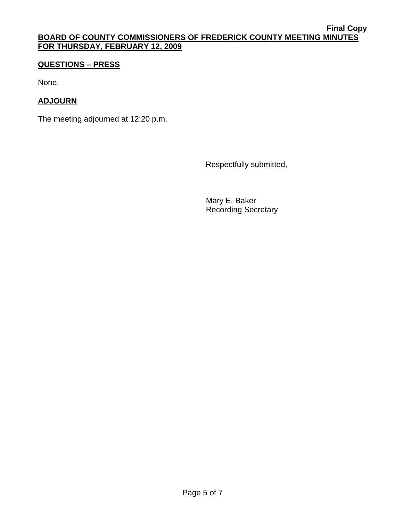# **QUESTIONS – PRESS**

None.

# **ADJOURN**

The meeting adjourned at 12:20 p.m.

Respectfully submitted,

Mary E. Baker Recording Secretary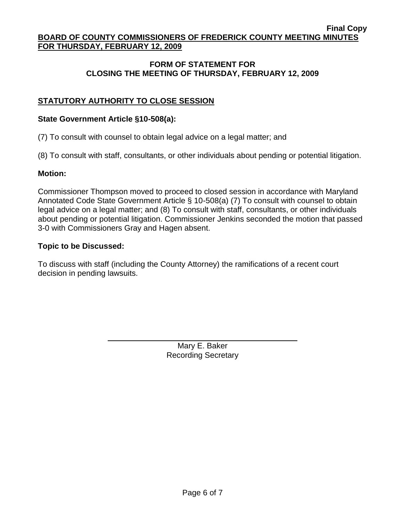## **FORM OF STATEMENT FOR CLOSING THE MEETING OF THURSDAY, FEBRUARY 12, 2009**

# **STATUTORY AUTHORITY TO CLOSE SESSION**

#### **State Government Article §10-508(a):**

(7) To consult with counsel to obtain legal advice on a legal matter; and

(8) To consult with staff, consultants, or other individuals about pending or potential litigation.

#### **Motion:**

Commissioner Thompson moved to proceed to closed session in accordance with Maryland Annotated Code State Government Article § 10-508(a) (7) To consult with counsel to obtain legal advice on a legal matter; and (8) To consult with staff, consultants, or other individuals about pending or potential litigation. Commissioner Jenkins seconded the motion that passed 3-0 with Commissioners Gray and Hagen absent.

#### **Topic to be Discussed:**

To discuss with staff (including the County Attorney) the ramifications of a recent court decision in pending lawsuits.

> Mary E. Baker Recording Secretary